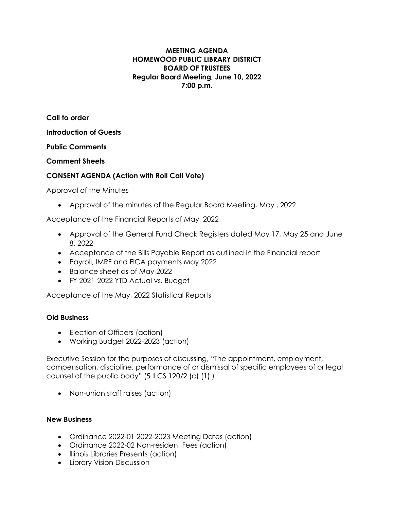#### **MEETING AGENDA HOMEWOOD PUBLIC LIBRARY DISTRICT BOARD OF TRUSTEES Regular Board Meeting, June 10, 2022 7:00 p.m.**

**Call to order Introduction of Guests**

**Public Comments**

**Comment Sheets**

# **CONSENT AGENDA (Action with Roll Call Vote)**

Approval of the Minutes

• Approval of the minutes of the Regular Board Meeting, May , 2022

Acceptance of the Financial Reports of May, 2022

- Approval of the General Fund Check Registers dated May 17, May 25 and June 8, 2022
- Acceptance of the Bills Payable Report as outlined in the Financial report
- Payroll, IMRF and FICA payments May 2022
- Balance sheet as of May 2022
- FY 2021-2022 YTD Actual vs. Budget

Acceptance of the May, 2022 Statistical Reports

## **Old Business**

- Election of Officers (action)
- Working Budget 2022-2023 (action)

Executive Session for the purposes of discussing, "The appointment, employment, compensation, discipline, performance of or dismissal of specific employees of or legal counsel of the public body" (5 ILCS 120/2 (c) (1) )

• Non-union staff raises (action)

## **New Business**

- Ordinance 2022-01 2022-2023 Meeting Dates (action)
- Ordinance 2022-02 Non-resident Fees (action)
- Illinois Libraries Presents (action)
- Library Vision Discussion